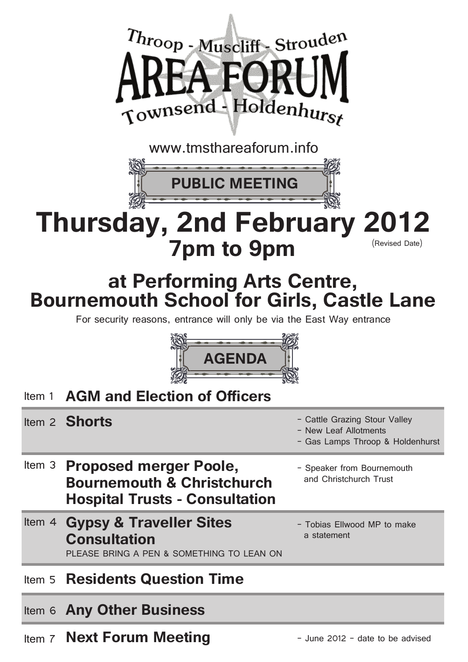